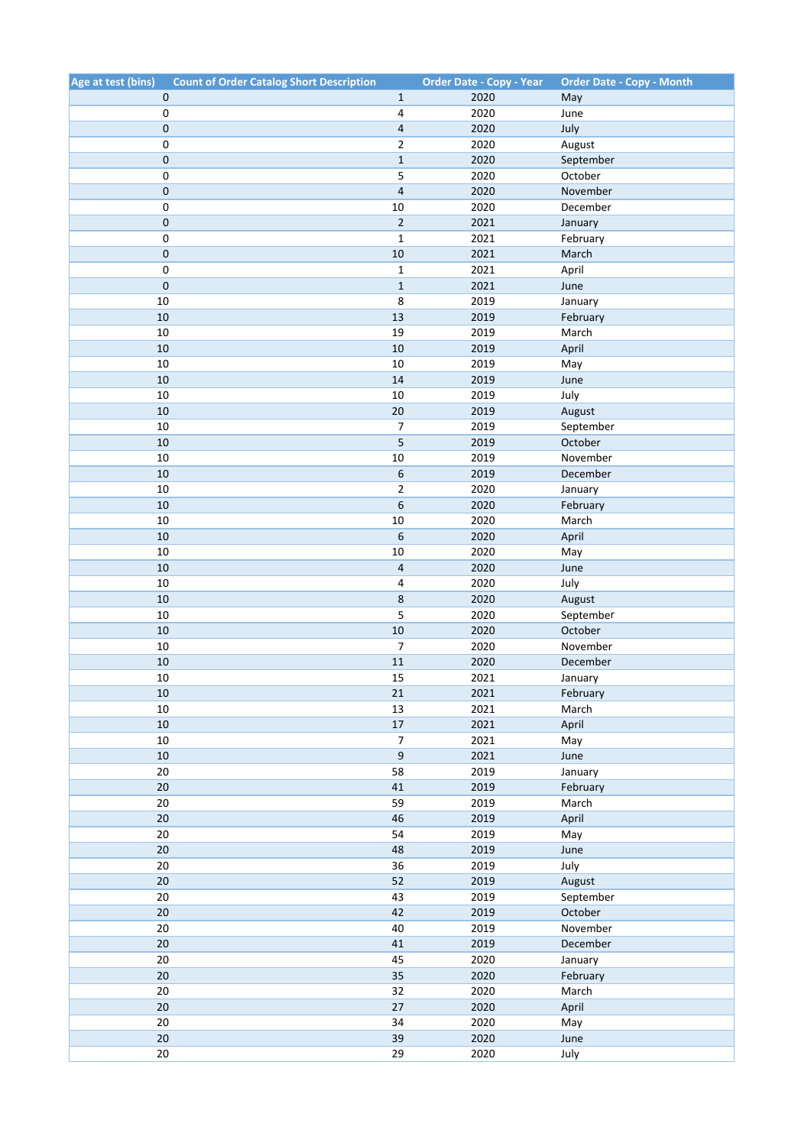| Age at test (bins) | <b>Count of Order Catalog Short Description</b> | <b>Order Date - Copy - Year</b> | <b>Order Date - Copy - Month</b> |
|--------------------|-------------------------------------------------|---------------------------------|----------------------------------|
| 0                  | $\mathbf{1}$                                    | 2020                            | May                              |
| $\mathbf 0$        | 4                                               | 2020                            | June                             |
| $\mathbf 0$        | 4                                               | 2020                            | July                             |
| $\mathbf 0$        | $\overline{2}$                                  | 2020                            | August                           |
| $\pmb{0}$          | $\mathbf 1$                                     | 2020                            | September                        |
| $\mathbf 0$        | 5                                               | 2020                            | October                          |
| $\mathbf 0$        | $\sqrt{4}$                                      | 2020                            | November                         |
| 0                  | $10\,$                                          | 2020                            | December                         |
| $\mathbf 0$        | $\overline{2}$                                  | 2021                            | January                          |
| $\pmb{0}$          | $\mathbf{1}$                                    | 2021                            | February                         |
| $\pmb{0}$          | 10                                              | 2021                            | March                            |
| $\pmb{0}$          | $\mathbf{1}$                                    | 2021                            | April                            |
| $\pmb{0}$          | $\mathbf{1}$                                    | 2021                            | June                             |
| 10                 | 8                                               | 2019                            | January                          |
| 10                 | 13                                              | 2019                            | February                         |
| 10                 | 19                                              | 2019                            | March                            |
| 10                 | $10\,$                                          | 2019                            | April                            |
| 10                 | $10\,$                                          | 2019                            | May                              |
| 10                 | 14                                              | 2019                            | June                             |
| 10                 | 10                                              | 2019                            | July                             |
| 10                 | 20                                              | 2019                            | August                           |
| 10                 | 7                                               | 2019                            | September                        |
| 10                 | 5                                               | 2019                            | October                          |
| $10\,$             | 10                                              | 2019                            | November                         |
| 10                 | 6                                               | 2019                            | December                         |
| 10                 | $\overline{2}$                                  | 2020                            | January                          |
| 10                 | 6                                               | 2020                            | February                         |
| 10                 | 10                                              | 2020                            | March                            |
| 10                 | 6                                               | 2020                            | April                            |
| 10                 | $10\,$                                          | 2020                            | May                              |
| 10                 | $\sqrt{4}$                                      | 2020                            | June                             |
| 10                 | 4                                               | 2020                            | July                             |
| 10                 | 8                                               | 2020                            | August                           |
| 10                 | 5                                               | 2020                            | September                        |
| 10                 | 10                                              | 2020                            | October                          |
| 10                 | 7                                               | 2020                            | November                         |
| 10                 | $11\,$                                          | 2020                            | December                         |
| 10                 | 15                                              | 2021                            | January                          |
| 10                 | 21                                              | 2021                            | February                         |
| 10                 | 13                                              | 2021                            | March                            |
| 10                 | $17\,$                                          | 2021                            | April                            |
| 10                 | $\boldsymbol{7}$                                | 2021                            | May                              |
| $10\,$             | $\mathsf g$                                     | 2021                            | June                             |
| 20                 | 58                                              | 2019                            | January                          |
| 20                 | 41                                              | 2019                            | February                         |
| 20                 | 59                                              | 2019                            | March                            |
| $20\,$             | $46\,$                                          | 2019                            | April                            |
| 20                 | 54                                              | 2019                            | May                              |
| $20\,$             | 48                                              | 2019                            | June                             |
| 20                 | 36                                              | 2019                            | July                             |
| 20                 | 52                                              | 2019                            | August                           |
| 20                 | 43                                              | 2019                            | September                        |
| 20                 | 42                                              | 2019                            | October                          |
| 20                 | 40                                              | 2019                            | November                         |
| $20\,$             | $41\,$                                          | 2019                            | December                         |
| 20                 | 45                                              | 2020                            | January                          |
| 20                 | 35                                              | 2020                            | February                         |
| 20                 | 32                                              | 2020                            | March                            |
| 20                 | $27$                                            | 2020                            | April                            |
| $20\,$             | 34                                              | 2020                            | May                              |
| $20\,$             | 39                                              | 2020                            | June                             |
| $20\,$             | 29                                              | 2020                            | July                             |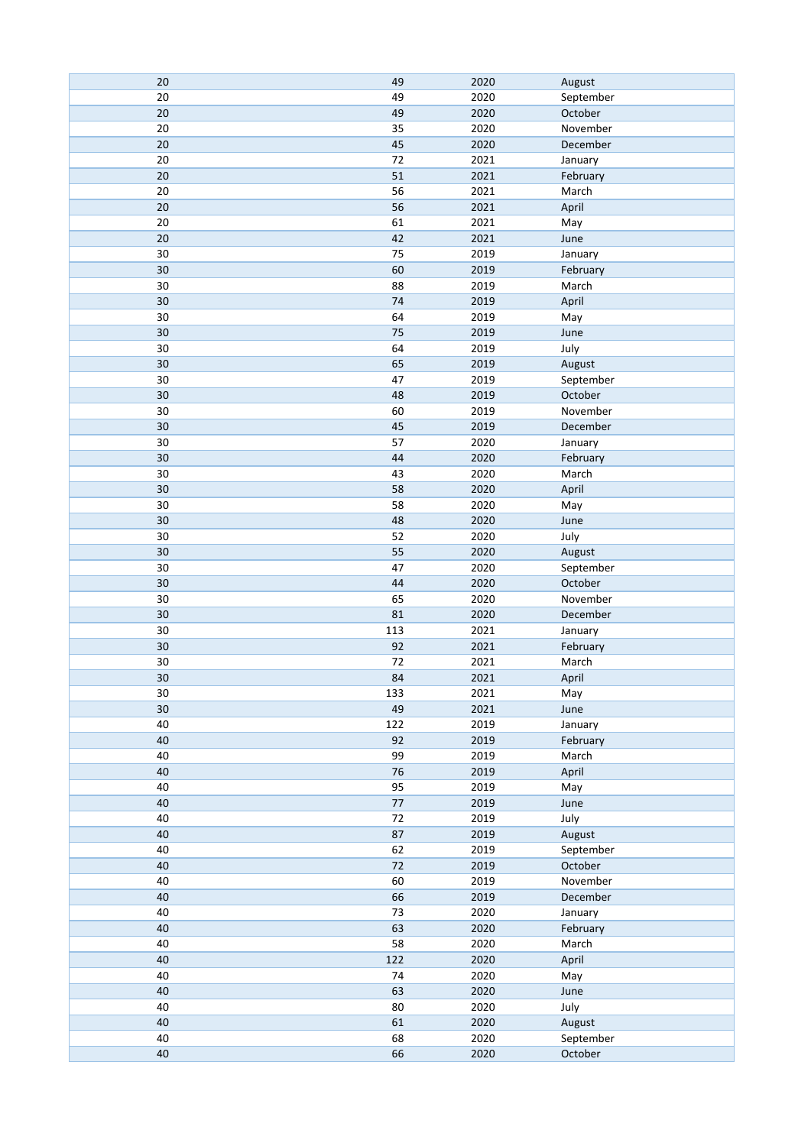| 20 | 49  | 2020 | August    |
|----|-----|------|-----------|
| 20 | 49  | 2020 | September |
| 20 | 49  | 2020 | October   |
| 20 | 35  | 2020 | November  |
| 20 | 45  | 2020 | December  |
| 20 | 72  | 2021 | January   |
| 20 | 51  | 2021 | February  |
| 20 | 56  | 2021 | March     |
| 20 | 56  | 2021 | April     |
| 20 | 61  | 2021 | May       |
| 20 | 42  | 2021 | June      |
| 30 | 75  | 2019 | January   |
| 30 | 60  | 2019 | February  |
| 30 | 88  | 2019 | March     |
| 30 | 74  | 2019 | April     |
| 30 | 64  | 2019 | May       |
| 30 | 75  | 2019 | June      |
| 30 | 64  | 2019 | July      |
| 30 | 65  | 2019 | August    |
| 30 | 47  | 2019 | September |
| 30 | 48  | 2019 | October   |
| 30 | 60  | 2019 | November  |
| 30 | 45  | 2019 | December  |
| 30 | 57  | 2020 | January   |
| 30 | 44  | 2020 | February  |
| 30 | 43  | 2020 | March     |
| 30 | 58  | 2020 | April     |
| 30 | 58  | 2020 | May       |
| 30 | 48  | 2020 | June      |
| 30 | 52  | 2020 | July      |
| 30 | 55  | 2020 | August    |
| 30 | 47  | 2020 | September |
| 30 | 44  | 2020 | October   |
| 30 | 65  | 2020 | November  |
| 30 | 81  | 2020 | December  |
| 30 | 113 | 2021 | January   |
| 30 | 92  | 2021 | February  |
| 30 | 72  | 2021 | March     |
| 30 | 84  | 2021 | April     |
| 30 | 133 | 2021 | May       |
| 30 | 49  | 2021 | June      |
| 40 | 122 | 2019 | January   |
| 40 | 92  | 2019 | February  |
| 40 | 99  | 2019 | March     |
| 40 | 76  | 2019 | April     |
| 40 | 95  | 2019 | May       |
| 40 | 77  | 2019 | June      |
| 40 | 72  | 2019 | July      |
| 40 | 87  | 2019 | August    |
| 40 | 62  | 2019 | September |
| 40 | 72  | 2019 | October   |
| 40 | 60  | 2019 | November  |
| 40 | 66  | 2019 | December  |
| 40 | 73  | 2020 | January   |
| 40 | 63  | 2020 | February  |
| 40 | 58  | 2020 | March     |
| 40 | 122 | 2020 | April     |
| 40 | 74  | 2020 | May       |
| 40 | 63  | 2020 | June      |
| 40 | 80  | 2020 | July      |
| 40 | 61  | 2020 | August    |
| 40 | 68  | 2020 | September |
| 40 | 66  | 2020 | October   |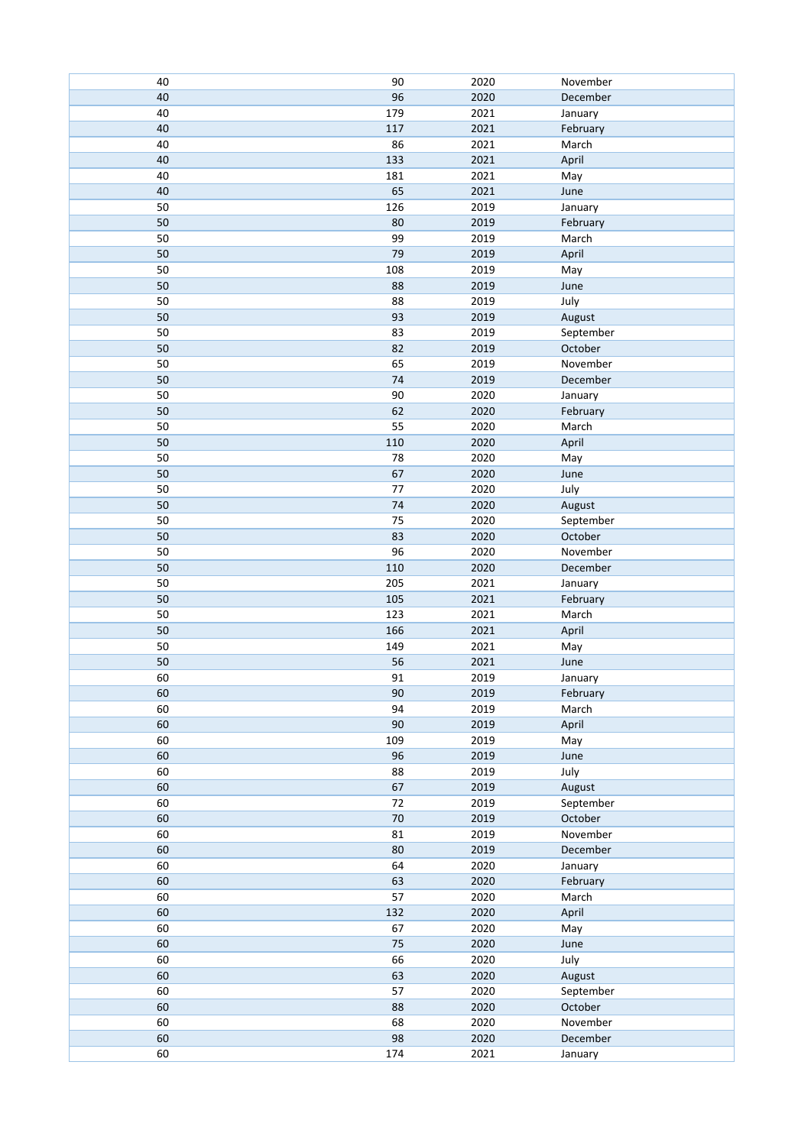| 40 | 90     | 2020 | November  |
|----|--------|------|-----------|
| 40 | 96     | 2020 | December  |
| 40 | 179    | 2021 | January   |
| 40 | 117    | 2021 | February  |
| 40 | 86     | 2021 | March     |
| 40 | 133    | 2021 | April     |
| 40 | 181    | 2021 | May       |
| 40 | 65     | 2021 | June      |
| 50 | 126    | 2019 | January   |
| 50 | 80     | 2019 | February  |
| 50 | 99     | 2019 | March     |
| 50 | 79     | 2019 | April     |
| 50 | 108    | 2019 |           |
|    |        |      | May       |
| 50 | 88     | 2019 | June      |
| 50 | 88     | 2019 | July      |
| 50 | 93     | 2019 | August    |
| 50 | 83     | 2019 | September |
| 50 | 82     | 2019 | October   |
| 50 | 65     | 2019 | November  |
| 50 | $74$   | 2019 | December  |
| 50 | 90     | 2020 | January   |
| 50 | 62     | 2020 | February  |
| 50 | 55     | 2020 | March     |
| 50 | 110    | 2020 | April     |
| 50 | 78     | 2020 | May       |
| 50 | 67     | 2020 | June      |
| 50 | 77     | 2020 | July      |
| 50 | 74     | 2020 | August    |
| 50 | 75     | 2020 | September |
| 50 | 83     | 2020 | October   |
| 50 | 96     | 2020 | November  |
| 50 | 110    | 2020 | December  |
| 50 | 205    | 2021 | January   |
| 50 | 105    | 2021 | February  |
| 50 | 123    | 2021 | March     |
| 50 | 166    | 2021 |           |
| 50 |        |      | April     |
|    | 149    | 2021 | May       |
| 50 | 56     | 2021 | June      |
| 60 | 91     | 2019 | January   |
| 60 | $90\,$ | 2019 | February  |
| 60 | 94     | 2019 | March     |
| 60 | 90     | 2019 | April     |
| 60 | 109    | 2019 | May       |
| 60 | 96     | 2019 | June      |
| 60 | 88     | 2019 | July      |
| 60 | 67     | 2019 | August    |
| 60 | $72\,$ | 2019 | September |
| 60 | $70\,$ | 2019 | October   |
| 60 | 81     | 2019 | November  |
| 60 | 80     | 2019 | December  |
| 60 | 64     | 2020 | January   |
| 60 | 63     | 2020 | February  |
| 60 | 57     | 2020 | March     |
| 60 | 132    | 2020 | April     |
| 60 | 67     | 2020 | May       |
| 60 | $75\,$ | 2020 | June      |
| 60 | 66     | 2020 | July      |
| 60 | 63     | 2020 | August    |
| 60 | 57     | 2020 | September |
|    |        | 2020 |           |
| 60 | 88     |      | October   |
| 60 | 68     | 2020 | November  |
| 60 | 98     | 2020 | December  |
| 60 | 174    | 2021 | January   |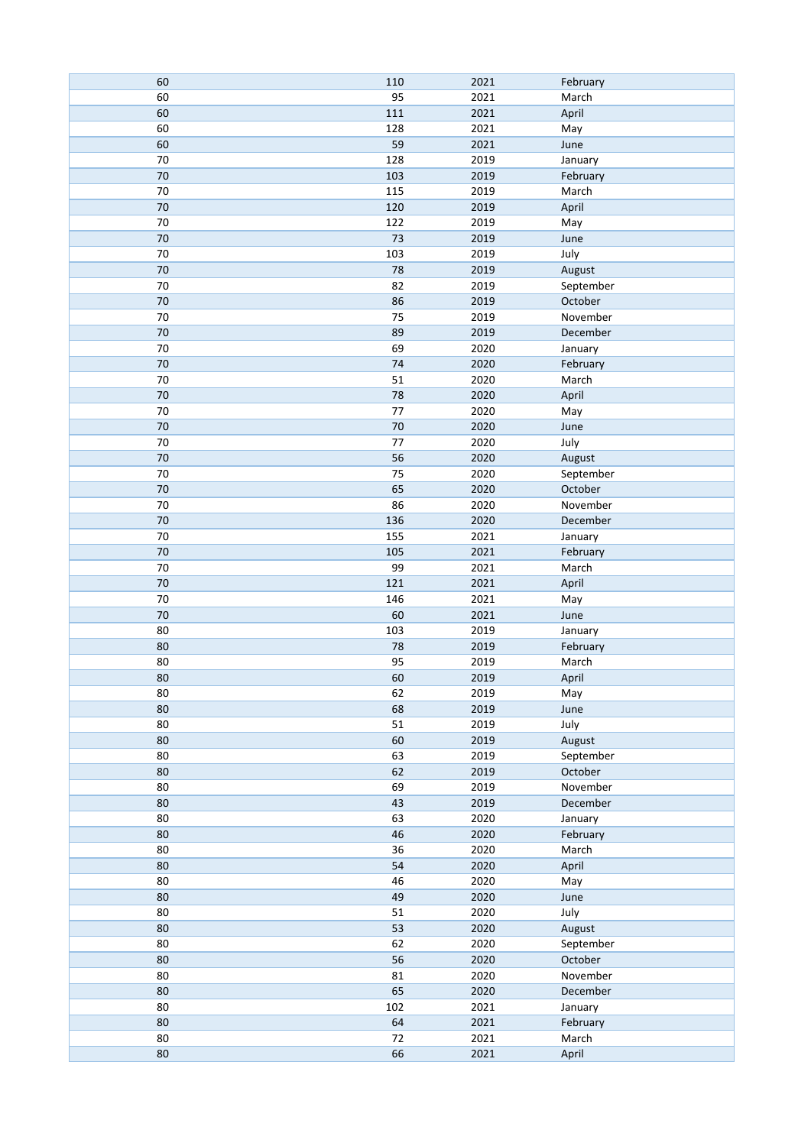| 60     | 110     | 2021 | February  |
|--------|---------|------|-----------|
| 60     | 95      | 2021 | March     |
| 60     | 111     | 2021 | April     |
| 60     | 128     | 2021 | May       |
| 60     | 59      | 2021 | June      |
| 70     | 128     | 2019 | January   |
| 70     | 103     | 2019 | February  |
| 70     | 115     | 2019 | March     |
| 70     | 120     | 2019 | April     |
| 70     | 122     | 2019 | May       |
| 70     | 73      | 2019 | June      |
| 70     | 103     | 2019 | July      |
| 70     | 78      | 2019 | August    |
| 70     | 82      | 2019 | September |
| $70\,$ | 86      | 2019 | October   |
| 70     | 75      | 2019 | November  |
|        |         |      |           |
| $70\,$ | 89      | 2019 | December  |
| 70     | 69      | 2020 | January   |
| 70     | 74      | 2020 | February  |
| 70     | 51      | 2020 | March     |
| $70\,$ | 78      | 2020 | April     |
| 70     | 77      | 2020 | May       |
| 70     | 70      | 2020 | June      |
| 70     | $77 \,$ | 2020 | July      |
| 70     | 56      | 2020 | August    |
| 70     | 75      | 2020 | September |
| $70\,$ | 65      | 2020 | October   |
| 70     | 86      | 2020 | November  |
| $70\,$ | 136     | 2020 | December  |
| 70     | 155     | 2021 | January   |
| 70     | 105     | 2021 | February  |
| 70     | 99      | 2021 | March     |
| 70     | 121     | 2021 | April     |
| 70     | 146     | 2021 | May       |
| 70     | 60      | 2021 | June      |
| 80     | 103     | 2019 | January   |
| 80     | 78      | 2019 | February  |
| 80     | 95      | 2019 | March     |
| 80     | 60      | 2019 | April     |
| 80     | 62      | 2019 | May       |
| 80     | 68      | 2019 | June      |
| 80     | 51      | 2019 | July      |
| 80     | 60      | 2019 | August    |
| 80     | 63      | 2019 | September |
| $80\,$ | 62      | 2019 | October   |
| 80     | 69      | 2019 | November  |
| 80     | 43      | 2019 | December  |
| 80     | 63      | 2020 | January   |
| 80     | 46      | 2020 | February  |
| 80     | 36      | 2020 | March     |
| 80     | 54      | 2020 | April     |
| 80     | 46      | 2020 | May       |
| 80     | 49      | 2020 | June      |
| 80     | 51      | 2020 | July      |
| 80     | 53      | 2020 | August    |
| 80     | 62      | 2020 | September |
| 80     | 56      | 2020 | October   |
| 80     | 81      | 2020 | November  |
| 80     | 65      | 2020 | December  |
| 80     | 102     | 2021 | January   |
| 80     | 64      | 2021 | February  |
| 80     | 72      | 2021 | March     |
| 80     | 66      | 2021 | April     |
|        |         |      |           |